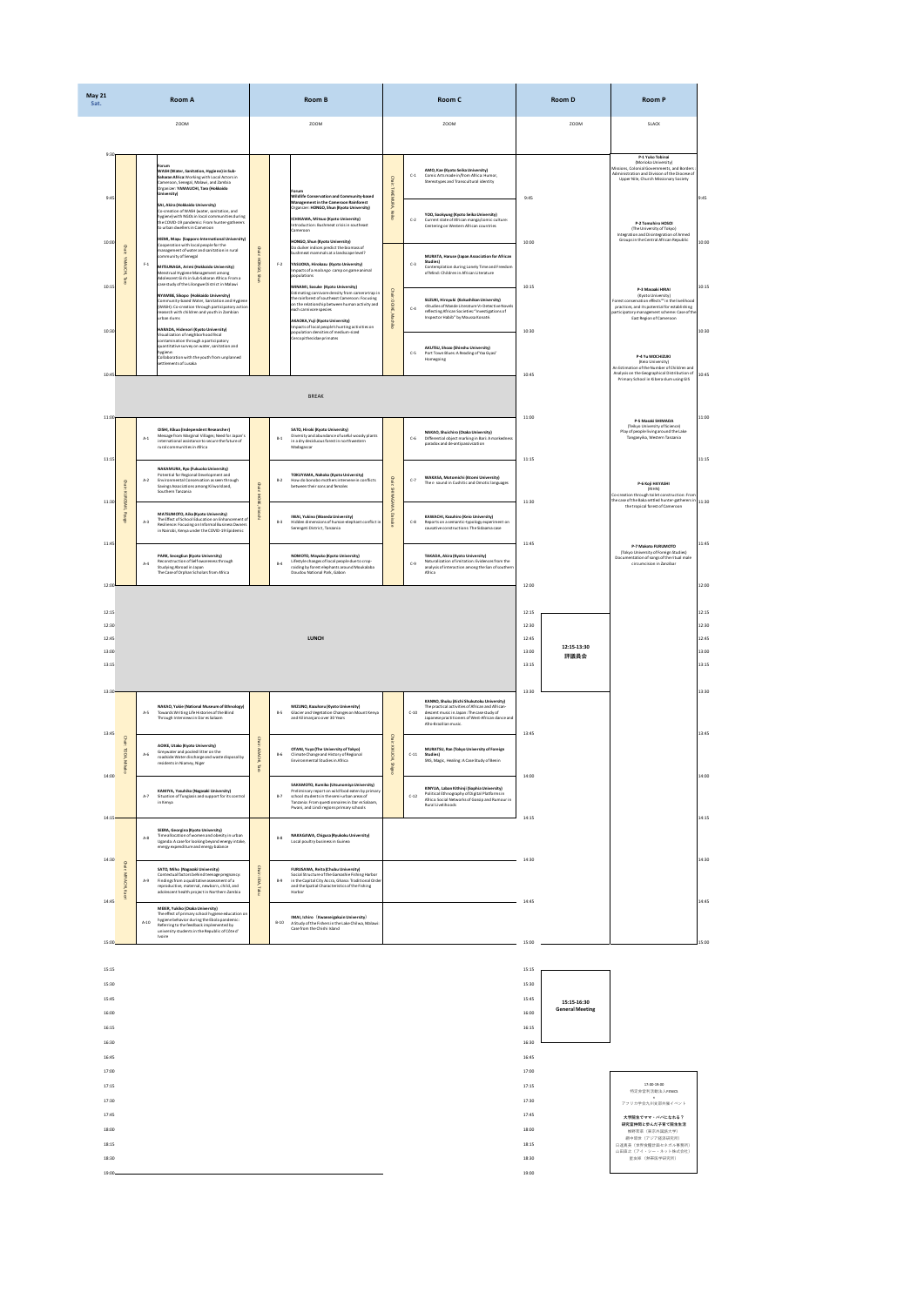